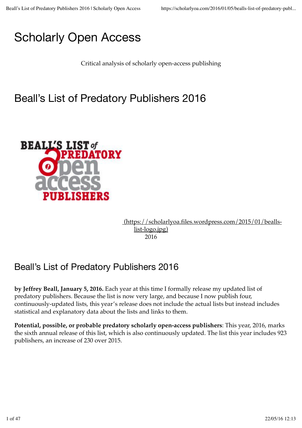# Scholarly Open Access

Critical analysis of scholarly open-access publishing

# Beall's List of Predatory Publishers 2016



 (https://scholarlyoa.files.wordpress.com/2015/01/beallslist-logo.jpg) 2016

### Beall's List of Predatory Publishers 2016

**by Jeffrey Beall, January 5, 2016.** Each year at this time I formally release my updated list of predatory publishers. Because the list is now very large, and because I now publish four, continuously-updated lists, this year's release does not include the actual lists but instead includes statistical and explanatory data about the lists and links to them.

**Potential, possible, or probable predatory scholarly open-access publishers**: This year, 2016, marks the sixth annual release of this list, which is also continuously updated. The list this year includes 923 publishers, an increase of 230 over 2015.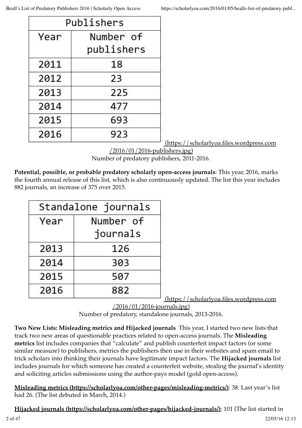| Publishers |                         |
|------------|-------------------------|
| Year       | Number of<br>publishers |
| 2011       | 18                      |
| 2012       | 23                      |
| 2013       | 225                     |
| 2014       | 477                     |
| 2015       | 693                     |
| 2016       | 923                     |

(https://scholarlyoa.files.wordpress.com

/2016/01/2016-publishers.jpg) Number of predatory publishers, 2011-2016.

**Potential, possible, or probable predatory scholarly open-access journals**: This year, 2016, marks the fourth annual release of this list, which is also continuously updated. The list this year includes 882 journals, an increase of 375 over 2015.

| Standalone journals |           |
|---------------------|-----------|
| Year                | Number of |
|                     | journals  |
| 2013                | 126       |
| 2014                | 303       |
| 2015                | 507       |
| 2016                | 882       |

(https://scholarlyoa.files.wordpress.com

/2016/01/2016-journals.jpg)

Number of predatory, standalone journals, 2013-2016.

**Two New Lists: Misleading metrics and Hijacked journals** This year, I started two new lists that track two new areas of questionable practices related to open-access journals. The **Misleading metrics** list includes companies that "calculate" and publish counterfeit impact factors (or some similar measure) to publishers, metrics the publishers then use in their websites and spam email to trick scholars into thinking their journals have legitimate impact factors. The **Hijacked journals** list includes journals for which someone has created a counterfeit website, stealing the journal's identity and soliciting articles submissions using the author-pays model (gold open-access).

**Misleading metrics (https://scholarlyoa.com/other-pages/misleading-metrics/)**: 38. Last year's list had 26. (The list debuted in March, 2014.)

**Hijacked journals (https://scholarlyoa.com/other-pages/hijacked-journals/)**: 101 (The list started in 2 of 47 22/05/16 12:13